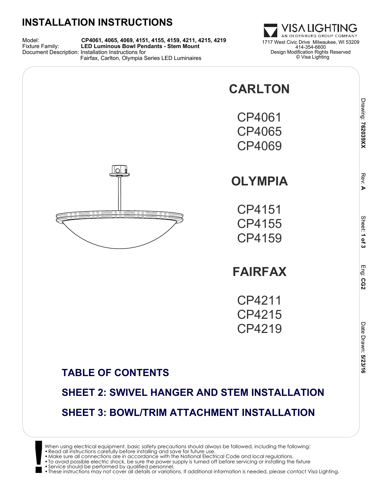### **INSTALLATION INSTRUCTIONS**

Model: **CP4061, 4065, 4069, 4151, 4155, 4159, 4211, 4215, 4219** Fixture Family: **LED Luminous Bowl Pendants - Stem Mount** 1717 West Civic Drive Milwaukee, WI 53209 Document Description: Installation Instructions for Fairfax, Carlton, Olympia Series LED Luminaires

ISA LIGHTING AN OLDENBURG GROUP COMPANY 414-354-6600 Design Modification Rights Reserved © Visa Lighting

> Drawing: 762039XX  **762039XX**

> > Rev:<u>ъ</u>

> > > Sheet:

 **1 of 3**

Eng: **CG2**

> Date Drawn:Date Drawn: 5/23/16

**CARLTON** CP4061 CP4065 CP4069 lol **OLYMPIA** CP4151 CP4155 CP4159

## **FAIRFAX**

CP4211 CP4215 CP4219

#### **TABLE OF CONTENTS**

# **SHEET 2: SWIVEL HANGER AND STEM INSTALLATION SHEET 3: BOWL/TRIM ATTACHMENT INSTALLATION**

When using electrical equipment, basic safety precautions should always be followed, including the following:<br>• Read all instructions carefully before installing and save for future use.<br>• Make sure all connections are in

•To avoid possible electric shock, be sure the power supply is turned off before servicing or installing the fixture •Service should be performed by qualified personnel.

**!** •These instructions may not cover all details or variations. If additional information is needed, please contact Visa Lighting.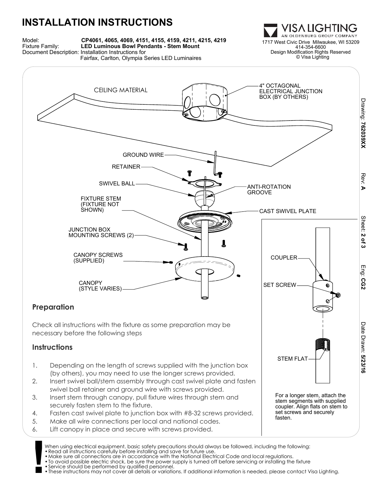### **INSTALLATION INSTRUCTIONS**



ISA LIGHTING AN OLDENBURG GROUP COMPANY 414-354-6600 Design Modification Rights Reserved © Visa Lighting

> coupler. Align flats on stem to set screws and securely

fasten.



- securely fasten stem to the fixture.
- 4. Fasten cast swivel plate to junction box with #8-32 screws provided.
- 5. Make all wire connections per local and national codes.
- 6. Lift canopy in place and secure with screws provided.

**!** When using electrical equipment, basic safety precautions should always be followed, including the following: •Read all instructions carefully before installing and save for future use.

- •Make sure all connections are in accordance with the National Electrical Code and local regulations.
- •To avoid possible electric shock, be sure the power supply is turned off before servicing or installing the fixture •Service should be performed by qualified personnel.
- 
- •These instructions may not cover all details or variations. If additional information is needed, please contact Visa Lighting.